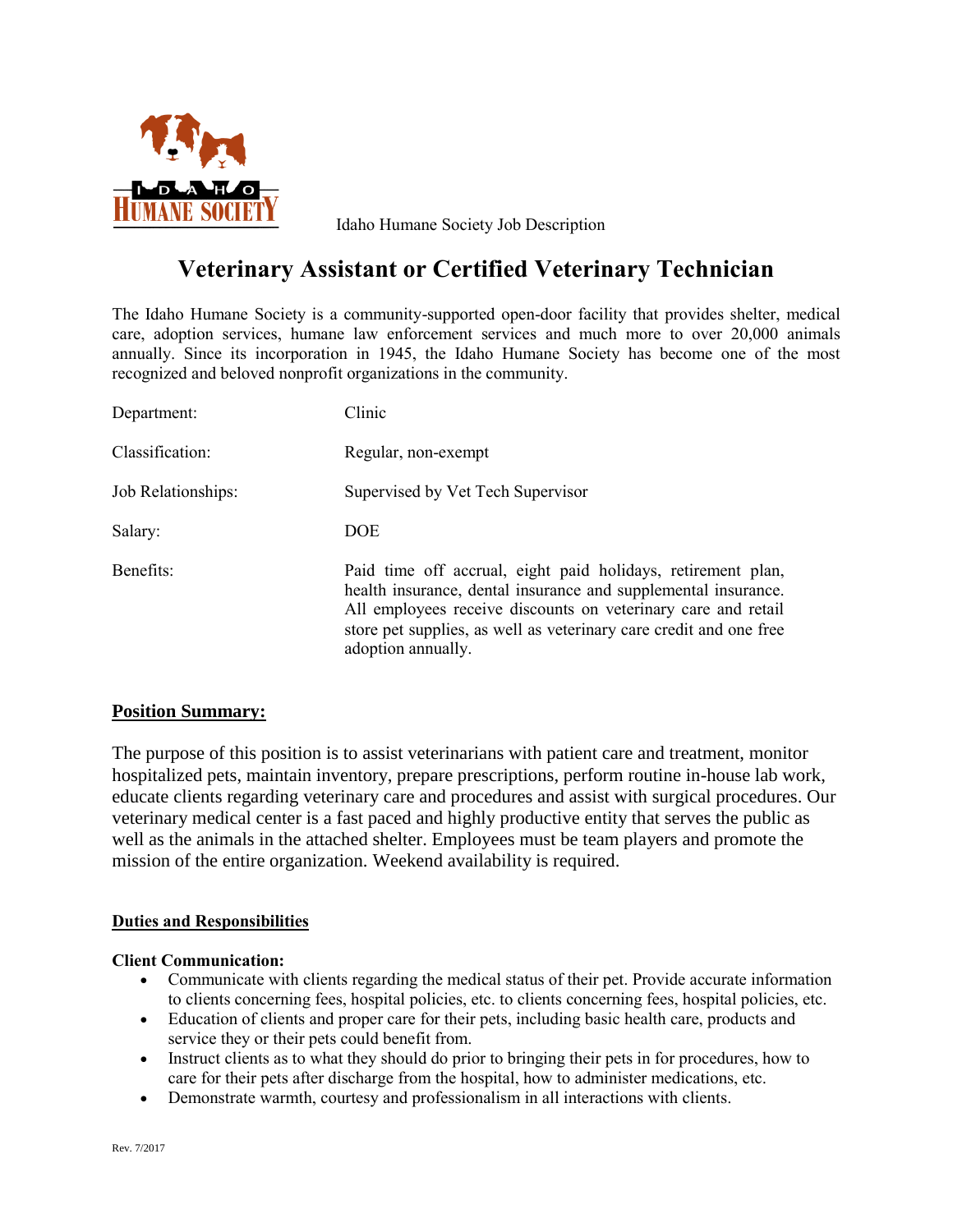

Idaho Humane Society Job Description

# **Veterinary Assistant or Certified Veterinary Technician**

The Idaho Humane Society is a community-supported open-door facility that provides shelter, medical care, adoption services, humane law enforcement services and much more to over 20,000 animals annually. Since its incorporation in 1945, the Idaho Humane Society has become one of the most recognized and beloved nonprofit organizations in the community.

| Department:        | Clinic                                                                                                                                                                                                                                                                                      |
|--------------------|---------------------------------------------------------------------------------------------------------------------------------------------------------------------------------------------------------------------------------------------------------------------------------------------|
| Classification:    | Regular, non-exempt                                                                                                                                                                                                                                                                         |
| Job Relationships: | Supervised by Vet Tech Supervisor                                                                                                                                                                                                                                                           |
| Salary:            | <b>DOE</b>                                                                                                                                                                                                                                                                                  |
| Benefits:          | Paid time off accrual, eight paid holidays, retirement plan,<br>health insurance, dental insurance and supplemental insurance.<br>All employees receive discounts on veterinary care and retail<br>store pet supplies, as well as veterinary care credit and one free<br>adoption annually. |

# **Position Summary:**

The purpose of this position is to assist veterinarians with patient care and treatment, monitor hospitalized pets, maintain inventory, prepare prescriptions, perform routine in-house lab work, educate clients regarding veterinary care and procedures and assist with surgical procedures. Our veterinary medical center is a fast paced and highly productive entity that serves the public as well as the animals in the attached shelter. Employees must be team players and promote the mission of the entire organization. Weekend availability is required.

#### **Duties and Responsibilities**

#### **Client Communication:**

- Communicate with clients regarding the medical status of their pet. Provide accurate information to clients concerning fees, hospital policies, etc. to clients concerning fees, hospital policies, etc.
- Education of clients and proper care for their pets, including basic health care, products and service they or their pets could benefit from.
- Instruct clients as to what they should do prior to bringing their pets in for procedures, how to care for their pets after discharge from the hospital, how to administer medications, etc.
- Demonstrate warmth, courtesy and professionalism in all interactions with clients.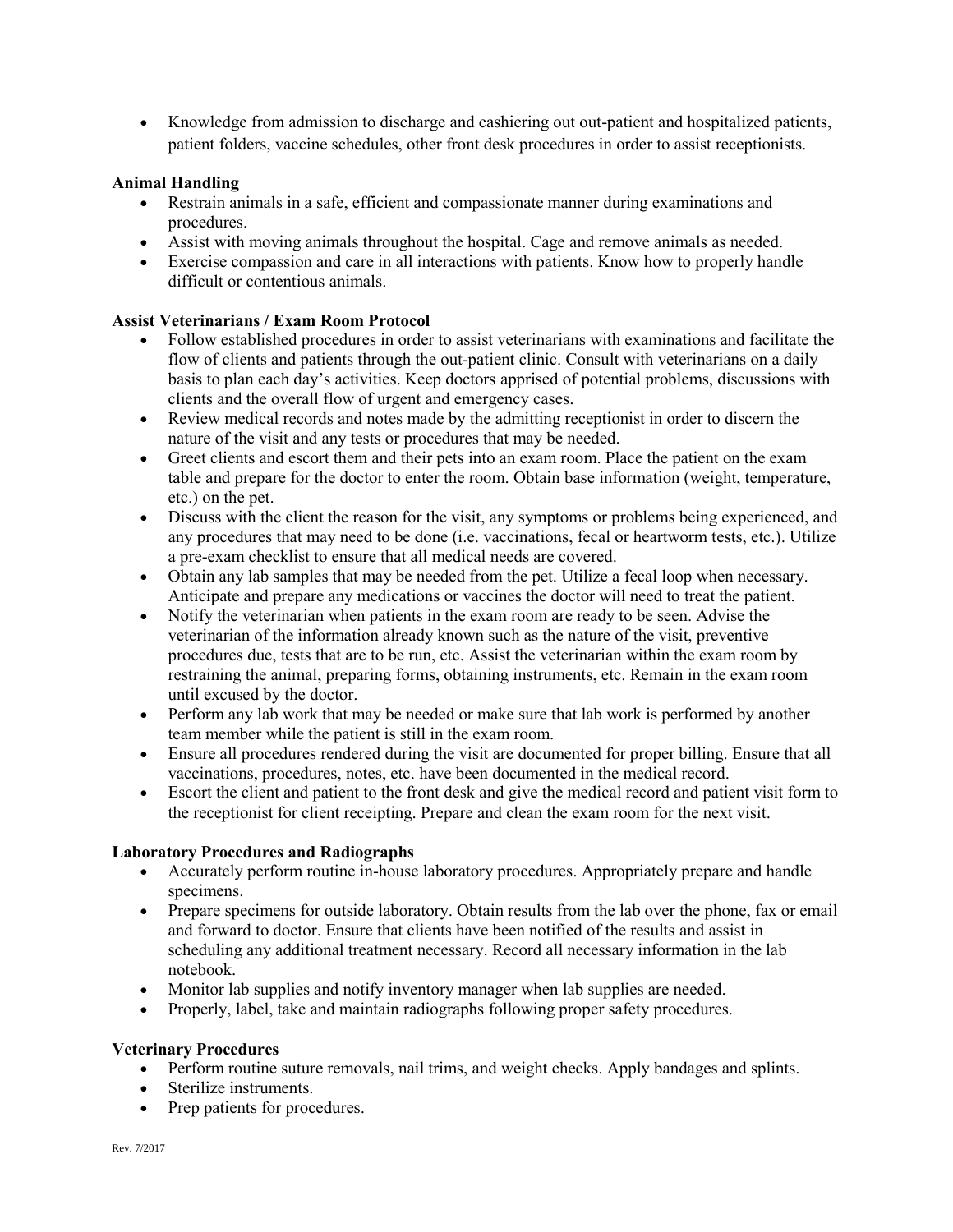Knowledge from admission to discharge and cashiering out out-patient and hospitalized patients, patient folders, vaccine schedules, other front desk procedures in order to assist receptionists.

## **Animal Handling**

- Restrain animals in a safe, efficient and compassionate manner during examinations and procedures.
- Assist with moving animals throughout the hospital. Cage and remove animals as needed.
- Exercise compassion and care in all interactions with patients. Know how to properly handle difficult or contentious animals.

## **Assist Veterinarians / Exam Room Protocol**

- Follow established procedures in order to assist veterinarians with examinations and facilitate the flow of clients and patients through the out-patient clinic. Consult with veterinarians on a daily basis to plan each day's activities. Keep doctors apprised of potential problems, discussions with clients and the overall flow of urgent and emergency cases.
- Review medical records and notes made by the admitting receptionist in order to discern the nature of the visit and any tests or procedures that may be needed.
- Greet clients and escort them and their pets into an exam room. Place the patient on the exam table and prepare for the doctor to enter the room. Obtain base information (weight, temperature, etc.) on the pet.
- Discuss with the client the reason for the visit, any symptoms or problems being experienced, and any procedures that may need to be done (i.e. vaccinations, fecal or heartworm tests, etc.). Utilize a pre-exam checklist to ensure that all medical needs are covered.
- Obtain any lab samples that may be needed from the pet. Utilize a fecal loop when necessary. Anticipate and prepare any medications or vaccines the doctor will need to treat the patient.
- Notify the veterinarian when patients in the exam room are ready to be seen. Advise the veterinarian of the information already known such as the nature of the visit, preventive procedures due, tests that are to be run, etc. Assist the veterinarian within the exam room by restraining the animal, preparing forms, obtaining instruments, etc. Remain in the exam room until excused by the doctor.
- Perform any lab work that may be needed or make sure that lab work is performed by another team member while the patient is still in the exam room.
- Ensure all procedures rendered during the visit are documented for proper billing. Ensure that all vaccinations, procedures, notes, etc. have been documented in the medical record.
- Escort the client and patient to the front desk and give the medical record and patient visit form to the receptionist for client receipting. Prepare and clean the exam room for the next visit.

#### **Laboratory Procedures and Radiographs**

- Accurately perform routine in-house laboratory procedures. Appropriately prepare and handle specimens.
- Prepare specimens for outside laboratory. Obtain results from the lab over the phone, fax or email and forward to doctor. Ensure that clients have been notified of the results and assist in scheduling any additional treatment necessary. Record all necessary information in the lab notebook.
- Monitor lab supplies and notify inventory manager when lab supplies are needed.
- Properly, label, take and maintain radiographs following proper safety procedures.

#### **Veterinary Procedures**

- Perform routine suture removals, nail trims, and weight checks. Apply bandages and splints.
- Sterilize instruments.
- Prep patients for procedures.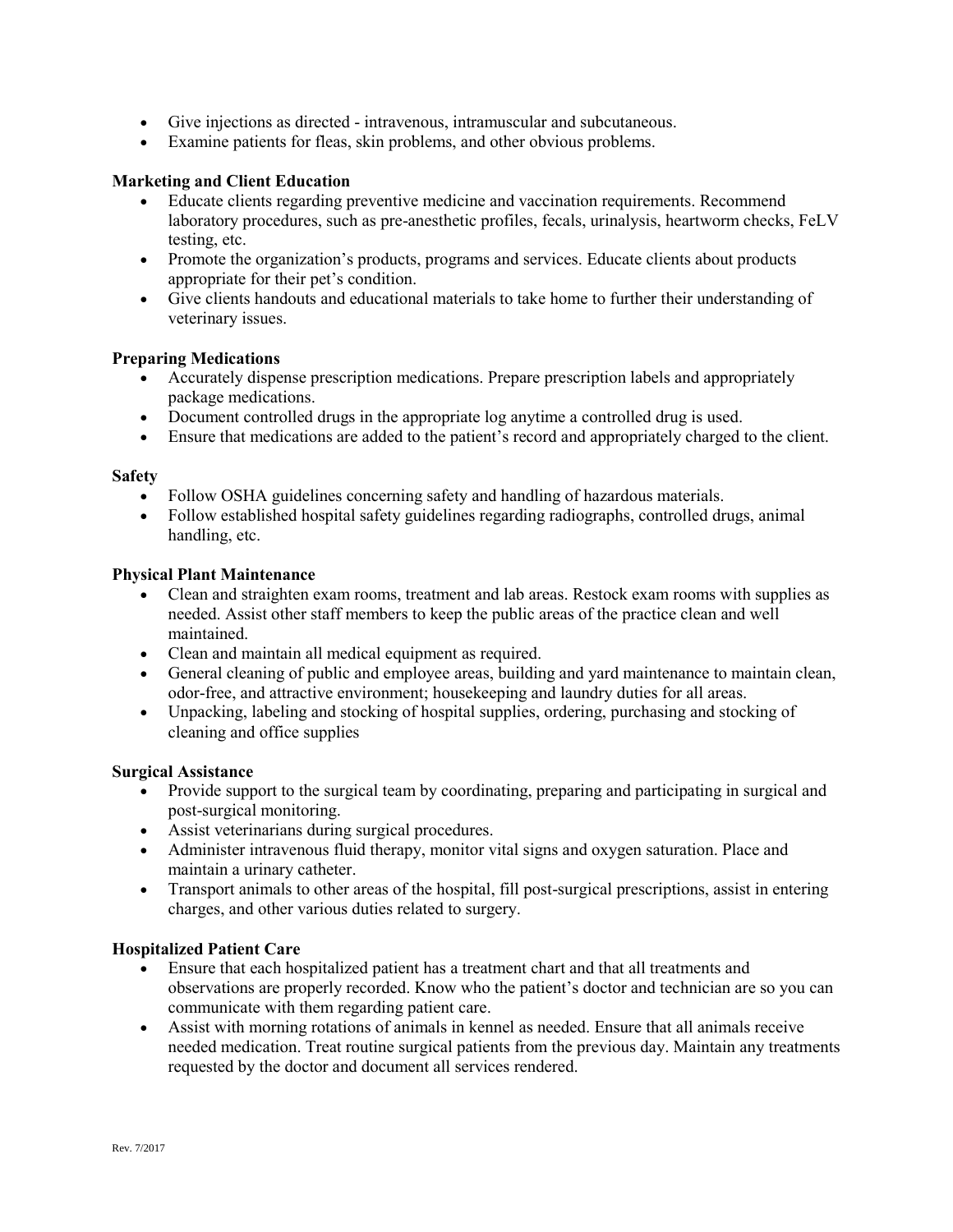- Give injections as directed intravenous, intramuscular and subcutaneous.
- Examine patients for fleas, skin problems, and other obvious problems.

#### **Marketing and Client Education**

- Educate clients regarding preventive medicine and vaccination requirements. Recommend laboratory procedures, such as pre-anesthetic profiles, fecals, urinalysis, heartworm checks, FeLV testing, etc.
- Promote the organization's products, programs and services. Educate clients about products appropriate for their pet's condition.
- Give clients handouts and educational materials to take home to further their understanding of veterinary issues.

#### **Preparing Medications**

- Accurately dispense prescription medications. Prepare prescription labels and appropriately package medications.
- Document controlled drugs in the appropriate log anytime a controlled drug is used.
- Ensure that medications are added to the patient's record and appropriately charged to the client.

#### **Safety**

- Follow OSHA guidelines concerning safety and handling of hazardous materials.
- Follow established hospital safety guidelines regarding radiographs, controlled drugs, animal handling, etc.

#### **Physical Plant Maintenance**

- Clean and straighten exam rooms, treatment and lab areas. Restock exam rooms with supplies as needed. Assist other staff members to keep the public areas of the practice clean and well maintained.
- Clean and maintain all medical equipment as required.
- General cleaning of public and employee areas, building and yard maintenance to maintain clean, odor-free, and attractive environment; housekeeping and laundry duties for all areas.
- Unpacking, labeling and stocking of hospital supplies, ordering, purchasing and stocking of cleaning and office supplies

#### **Surgical Assistance**

- Provide support to the surgical team by coordinating, preparing and participating in surgical and post-surgical monitoring.
- Assist veterinarians during surgical procedures.
- Administer intravenous fluid therapy, monitor vital signs and oxygen saturation. Place and maintain a urinary catheter.
- Transport animals to other areas of the hospital, fill post-surgical prescriptions, assist in entering charges, and other various duties related to surgery.

#### **Hospitalized Patient Care**

- Ensure that each hospitalized patient has a treatment chart and that all treatments and observations are properly recorded. Know who the patient's doctor and technician are so you can communicate with them regarding patient care.
- Assist with morning rotations of animals in kennel as needed. Ensure that all animals receive needed medication. Treat routine surgical patients from the previous day. Maintain any treatments requested by the doctor and document all services rendered.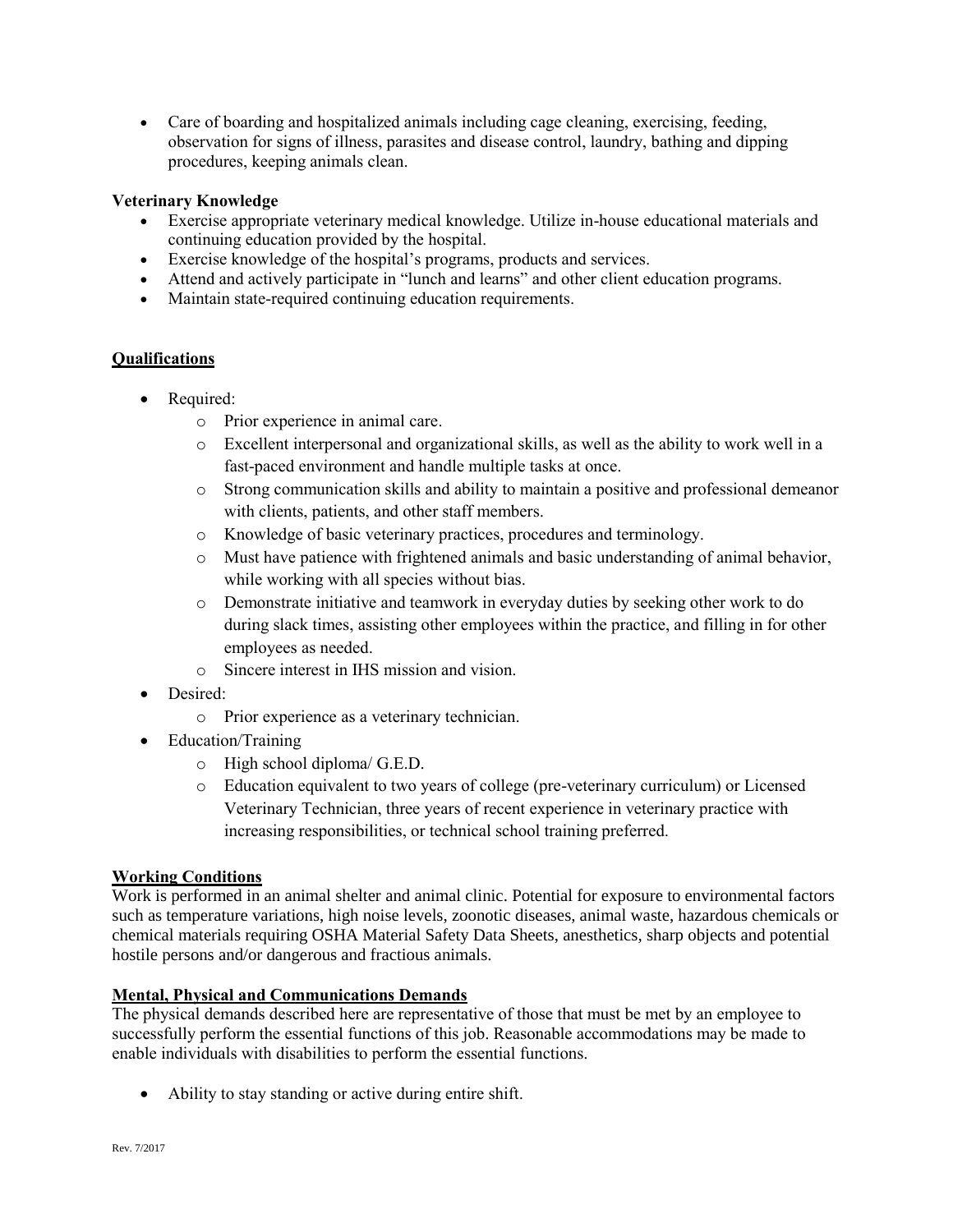Care of boarding and hospitalized animals including cage cleaning, exercising, feeding, observation for signs of illness, parasites and disease control, laundry, bathing and dipping procedures, keeping animals clean.

## **Veterinary Knowledge**

- Exercise appropriate veterinary medical knowledge. Utilize in-house educational materials and continuing education provided by the hospital.
- Exercise knowledge of the hospital's programs, products and services.
- Attend and actively participate in "lunch and learns" and other client education programs.
- Maintain state-required continuing education requirements.

## **Qualifications**

- Required:
	- o Prior experience in animal care.
	- o Excellent interpersonal and organizational skills, as well as the ability to work well in a fast-paced environment and handle multiple tasks at once.
	- o Strong communication skills and ability to maintain a positive and professional demeanor with clients, patients, and other staff members.
	- o Knowledge of basic veterinary practices, procedures and terminology.
	- o Must have patience with frightened animals and basic understanding of animal behavior, while working with all species without bias.
	- o Demonstrate initiative and teamwork in everyday duties by seeking other work to do during slack times, assisting other employees within the practice, and filling in for other employees as needed.
	- o Sincere interest in IHS mission and vision.
- Desired:
	- o Prior experience as a veterinary technician.
- Education/Training
	- o High school diploma/ G.E.D.
	- o Education equivalent to two years of college (pre-veterinary curriculum) or Licensed Veterinary Technician, three years of recent experience in veterinary practice with increasing responsibilities, or technical school training preferred.

# **Working Conditions**

Work is performed in an animal shelter and animal clinic. Potential for exposure to environmental factors such as temperature variations, high noise levels, zoonotic diseases, animal waste, hazardous chemicals or chemical materials requiring OSHA Material Safety Data Sheets, anesthetics, sharp objects and potential hostile persons and/or dangerous and fractious animals.

## **Mental, Physical and Communications Demands**

The physical demands described here are representative of those that must be met by an employee to successfully perform the essential functions of this job. Reasonable accommodations may be made to enable individuals with disabilities to perform the essential functions.

Ability to stay standing or active during entire shift.